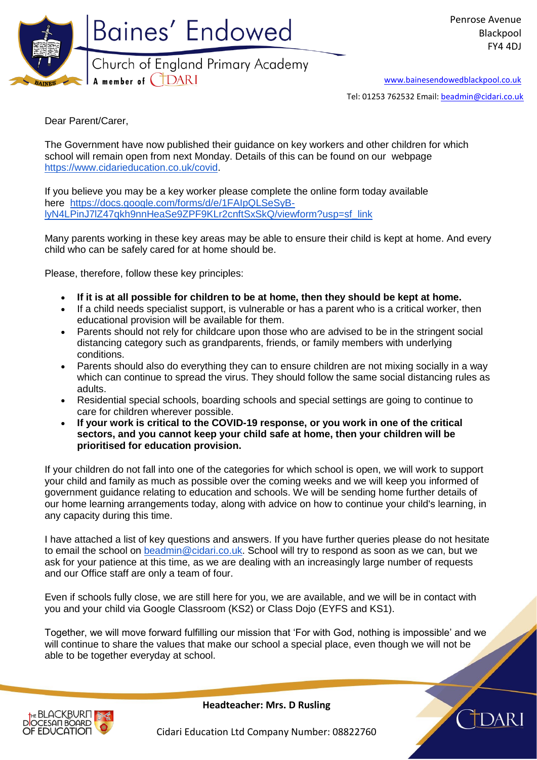

[www.bainesendowedblackpool.co.uk](http://www.bainesendowedblackpool.co.uk/)

Tel: 01253 762532 Email: [beadmin@cidari.co.uk](mailto:beadmin@cidari.co.uk)

Dear Parent/Carer,

The Government have now published their guidance on key workers and other children for which school will remain open from next Monday. Details of this can be found on our webpage [https://www.cidarieducation.co.uk/covid.](https://www.cidarieducation.co.uk/covid)

If you believe you may be a key worker please complete the online form today available here [https://docs.google.com/forms/d/e/1FAIpQLSeSyB](https://docs.google.com/forms/d/e/1FAIpQLSeSyB-lyN4LPinJ7lZ47qkh9nnHeaSe9ZPF9KLr2cnftSxSkQ/viewform?usp=sf_link)[lyN4LPinJ7lZ47qkh9nnHeaSe9ZPF9KLr2cnftSxSkQ/viewform?usp=sf\\_link](https://docs.google.com/forms/d/e/1FAIpQLSeSyB-lyN4LPinJ7lZ47qkh9nnHeaSe9ZPF9KLr2cnftSxSkQ/viewform?usp=sf_link)

Many parents working in these key areas may be able to ensure their child is kept at home. And every child who can be safely cared for at home should be.

Please, therefore, follow these key principles:

- **If it is at all possible for children to be at home, then they should be kept at home.**
- If a child needs specialist support, is vulnerable or has a parent who is a critical worker, then educational provision will be available for them.
- Parents should not rely for childcare upon those who are advised to be in the stringent social distancing category such as grandparents, friends, or family members with underlying conditions.
- Parents should also do everything they can to ensure children are not mixing socially in a way which can continue to spread the virus. They should follow the same social distancing rules as adults.
- Residential special schools, boarding schools and special settings are going to continue to care for children wherever possible.
- **If your work is critical to the COVID-19 response, or you work in one of the critical sectors, and you cannot keep your child safe at home, then your children will be prioritised for education provision.**

If your children do not fall into one of the categories for which school is open, we will work to support your child and family as much as possible over the coming weeks and we will keep you informed of government guidance relating to education and schools. We will be sending home further details of our home learning arrangements today, along with advice on how to continue your child's learning, in any capacity during this time.

I have attached a list of key questions and answers. If you have further queries please do not hesitate to email the school on [beadmin@cidari.co.uk.](mailto:beadmin@cidari.co.uk) School will try to respond as soon as we can, but we ask for your patience at this time, as we are dealing with an increasingly large number of requests and our Office staff are only a team of four.

Even if schools fully close, we are still here for you, we are available, and we will be in contact with you and your child via Google Classroom (KS2) or Class Dojo (EYFS and KS1).

Together, we will move forward fulfilling our mission that 'For with God, nothing is impossible' and we will continue to share the values that make our school a special place, even though we will not be able to be together everyday at school.



**Headteacher: Mrs. D Rusling**

Cidari Education Ltd Company Number: 08822760